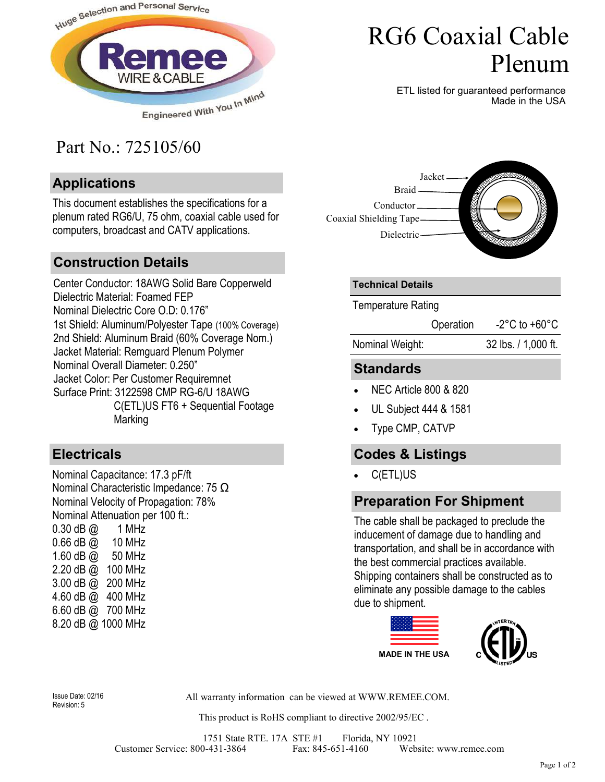

## Part No.: 725105/60

#### **Applications**

This document establishes the specifications for a plenum rated RG6/U, 75 ohm, coaxial cable used for computers, broadcast and CATV applications.

#### **Construction Details**

Center Conductor: 18AWG Solid Bare Copperweld Dielectric Material: Foamed FEP Nominal Dielectric Core O.D: 0.176" 1st Shield: Aluminum/Polyester Tape (100% Coverage) 2nd Shield: Aluminum Braid (60% Coverage Nom.) Jacket Material: Remguard Plenum Polymer Nominal Overall Diameter: 0.250" Jacket Color: Per Customer Requiremnet Surface Print: 3122598 CMP RG-6/U 18AWG C(ETL)US FT6 + Sequential Footage Marking

#### **Electricals**

Nominal Capacitance: 17.3 pF/ft Nominal Characteristic Impedance: 75 Ω Nominal Velocity of Propagation: 78% Nominal Attenuation per 100 ft.: 0.30 dB @ 1 MHz 0.66 dB @ 10 MHz 1.60 dB @ 50 MHz 2.20 dB @ 100 MHz 3.00 dB @ 200 MHz 4.60 dB @ 400 MHz 6.60 dB @ 700 MHz 8.20 dB @ 1000 MHz

# RG6 Coaxial Cable Plenum

ETL listed for guaranteed performance Made in the USA



#### **Technical Details**

Temperature Rating

Operation -2°C to +60°C

Nominal Weight: 32 lbs. / 1,000 ft.

## **Standards**

- NEC Article 800 & 820
- UL Subject 444 & 1581
- Type CMP, CATVP

### **Codes & Listings**

• C(ETL)US

### **Preparation For Shipment**

The cable shall be packaged to preclude the inducement of damage due to handling and transportation, and shall be in accordance with the best commercial practices available. Shipping containers shall be constructed as to eliminate any possible damage to the cables due to shipment.



Revision: 5

Issue Date: 02/16 All warranty information can be viewed at WWW.REMEE.COM.

This product is RoHS compliant to directive 2002/95/EC .

1751 State RTE. 17A STE #1 Florida, NY 10921<br>0-431-3864 Fax: 845-651-4160 Website: www.remee.com Customer Service: 800-431-3864